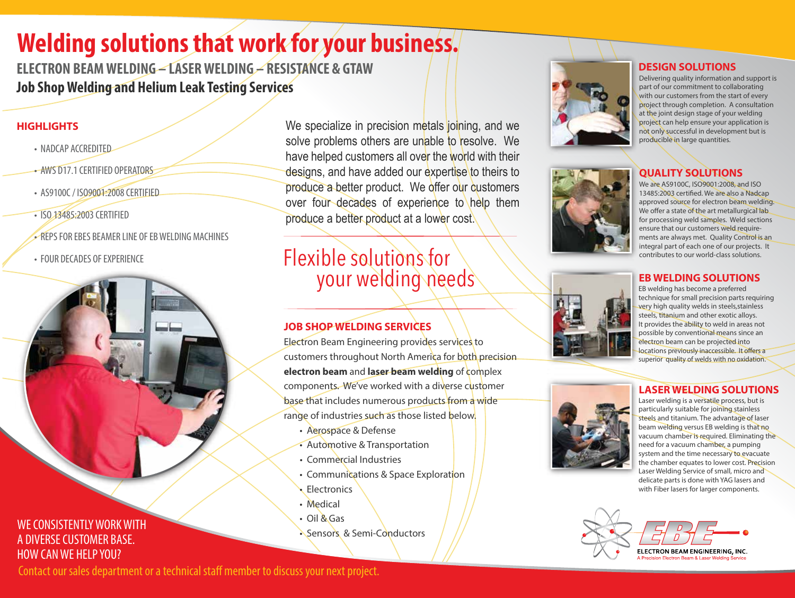# **Welding solutions that work for your business.**

**ELECTRON BEAM WELDING – LASER WELDING – RESISTANCE & GTAW Job Shop Welding and Helium Leak Testing Services**

## **HIGHLIGHTS**

- NADCAP ACCREDITED
- AWS D17.1 CERTIFIED OPERATORS
- AS9100C / ISO9001:2008 CERTIFIED
- ISO 13485:2003 CERTIFIED
- REPS FOR EBES BEAMER LINE OF EB WELDING MACHINES
- FOUR DECADES OF EXPERIENCE



We specialize in precision metals joining, and we solve problems others are unable to resolve. We have helped customers all over the world with their designs, and have added our expertise to theirs to produce a better product. We offer our customers over four decades of experience to help them produce a better product at a lower cost.

# Flexible solutions for your welding needs

## **JOB SHOP WELDING SERVICES**

Electron Beam Engineering provides services to customers throughout North America for both precision **electron beam** and **laser beam welding** of complex components. We've worked with a diverse customer base that includes numerous products from a wide range of industries such as those listed below.

- Aerospace & Defense
- Automotive & Transportation
- Commercial Industries
- Communications & Space Exploration
- Electronics
- Medical
- Oil & Gas
- Sensors & Semi-Conductors



#### **DESIGN SOLUTIONS**

Delivering quality information and support is part of our commitment to collaborating with our customers from the start of every project through completion. A consultation at the joint design stage of your welding project can help ensure your application is not only successful in development but is producible in large quantities.

## **QUALITY SOLUTIONS**



#### **EB WELDING SOLUTIONS**

EB welding has become a preferred technique for small precision parts requiring very high quality welds in steels,stainless steels, titanium and other exotic alloys. It provides the ability to weld in areas not possible by conventional means since an electron beam can be projected into locations previously inaccessible. It offers a superior quality of welds with no oxidation.

#### **LASER WELDING SOLUTIONS**

Laser welding is a versatile process, but is particularly suitable for joining stainless steels and titanium. The advantage of laser beam welding versus EB welding is that no vacuum chamber is required. Eliminating the need for a vacuum chamber, a pumping system and the time necessary to evacuate the chamber equates to lower cost. Precision Laser Welding Service of small, micro and delicate parts is done with YAG lasers and with Fiber lasers for larger components.



Contact our sales department or a technical staff member to discuss your next project.